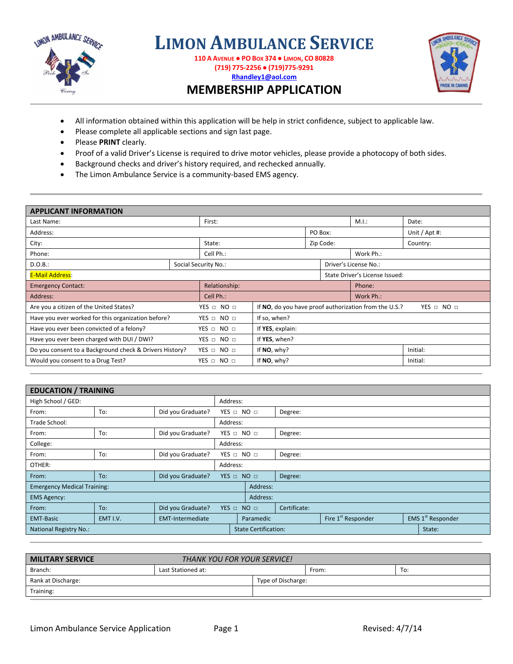

**LIMON AMBULANCE SERVICE**

**110 A AVENUE ● PO BOX 374 ● LIMON, CO 80828 (719) 775‐2256 ● (719)775‐9291 Rhandley1@aol.com**



## **MEMBERSHIP APPLICATION**

- All information obtained within this application will be help in strict confidence, subject to applicable law.
- Please complete all applicable sections and sign last page.
- Please **PRINT** clearly.
- Proof of a valid Driver's License is required to drive motor vehicles, please provide a photocopy of both sides.
- Background checks and driver's history required, and rechecked annually.
- The Limon Ambulance Service is a community-based EMS agency.

| <b>APPLICANT INFORMATION</b>                                             |                    |                      |                                                                     |           |  |                       |               |  |
|--------------------------------------------------------------------------|--------------------|----------------------|---------------------------------------------------------------------|-----------|--|-----------------------|---------------|--|
| Last Name:                                                               |                    | First:               |                                                                     |           |  | M.I.:                 | Date:         |  |
| Address:                                                                 |                    |                      | PO Box:                                                             |           |  |                       | Unit / Apt #: |  |
| City:                                                                    |                    | State:               |                                                                     | Zip Code: |  |                       | Country:      |  |
| Cell Ph.:<br>Phone:                                                      |                    |                      | Work Ph.:                                                           |           |  |                       |               |  |
| D.O.B.:                                                                  |                    | Social Security No.: |                                                                     |           |  | Driver's License No.: |               |  |
| <b>E-Mail Address:</b>                                                   |                    |                      | State Driver's License Issued:                                      |           |  |                       |               |  |
| <b>Emergency Contact:</b>                                                | Relationship:      |                      |                                                                     | Phone:    |  |                       |               |  |
| Address:<br>Cell Ph.:                                                    |                    | Work Ph.:            |                                                                     |           |  |                       |               |  |
| Are you a citizen of the United States?<br>$YES \Box NO \Box$            |                    |                      | If NO, do you have proof authorization from the U.S.?<br>YES O NO O |           |  |                       |               |  |
| Have you ever worked for this organization before?<br>$YES \Box NO \Box$ |                    |                      | If so, when?                                                        |           |  |                       |               |  |
| Have you ever been convicted of a felony?<br>$YES \Box NO \Box$          |                    |                      | If YES, explain:                                                    |           |  |                       |               |  |
| Have you ever been charged with DUI / DWI?<br>YES $\Box$ NO $\Box$       |                    |                      | If YES, when?                                                       |           |  |                       |               |  |
| Do you consent to a Background check & Drivers History?                  | $YES \Box NO \Box$ | If NO, why?          |                                                                     |           |  | Initial:              |               |  |
| Would you consent to a Drug Test?<br>$YES \Box NO \Box$                  |                    |                      | If NO, why?                                                         |           |  | Initial:              |               |  |
|                                                                          |                    |                      |                                                                     |           |  |                       |               |  |

| <b>EDUCATION / TRAINING</b>        |          |                         |                      |                               |                       |         |                                |        |                               |  |
|------------------------------------|----------|-------------------------|----------------------|-------------------------------|-----------------------|---------|--------------------------------|--------|-------------------------------|--|
| High School / GED:                 |          |                         | Address:             |                               |                       |         |                                |        |                               |  |
| From:                              | To:      | Did you Graduate?       |                      | $YES \Box NO \Box$<br>Degree: |                       |         |                                |        |                               |  |
| Trade School:                      |          |                         | Address:             |                               |                       |         |                                |        |                               |  |
| From:                              | To:      | Did you Graduate?       |                      |                               | YES O NO O<br>Degree: |         |                                |        |                               |  |
| College:                           |          |                         | Address:             |                               |                       |         |                                |        |                               |  |
| From:                              | To:      | Did you Graduate?       | YES $\Box$ NO $\Box$ |                               |                       | Degree: |                                |        |                               |  |
| OTHER:                             |          | Address:                |                      |                               |                       |         |                                |        |                               |  |
| From:                              | To:      | Did you Graduate?       | $YES = NO =$         |                               |                       | Degree: |                                |        |                               |  |
| <b>Emergency Medical Training:</b> |          |                         |                      | Address:                      |                       |         |                                |        |                               |  |
| <b>EMS Agency:</b>                 |          |                         |                      |                               | Address:              |         |                                |        |                               |  |
| From:                              | To:      | Did you Graduate?       | $YES \Box NO \Box$   |                               | Certificate:          |         |                                |        |                               |  |
| <b>EMT-Basic</b>                   | EMT I.V. | <b>EMT-Intermediate</b> |                      | Paramedic                     |                       |         | Fire 1 <sup>st</sup> Responder |        | EMS 1 <sup>st</sup> Responder |  |
| National Registry No.:             |          |                         |                      | <b>State Certification:</b>   |                       |         |                                | State: |                               |  |

| <b>MILITARY SERVICE</b> | <b>THANK YOU FOR YOUR SERVICE!</b> |                    |       |     |  |
|-------------------------|------------------------------------|--------------------|-------|-----|--|
| Branch:                 | Last Stationed at:                 |                    | From: | To: |  |
| Rank at Discharge:      |                                    | Type of Discharge: |       |     |  |
| Training:               |                                    |                    |       |     |  |